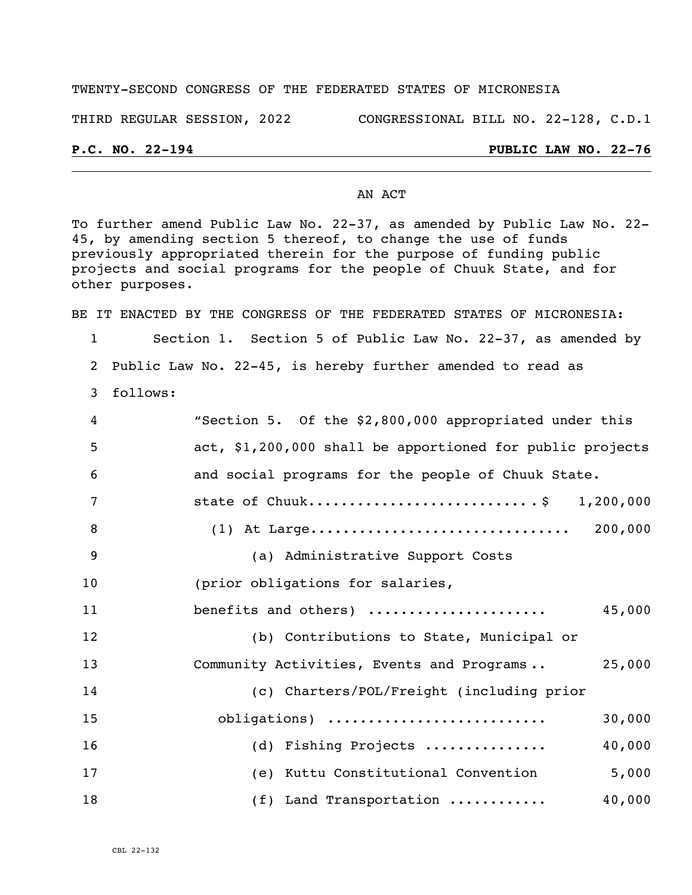#### TWENTY-SECOND CONGRESS OF THE FEDERATED STATES OF MICRONESIA

THIRD REGULAR SESSION, 2022 CONGRESSIONAL BILL NO. 22-128, C.D.1

## **P.C. NO. 22-194 PUBLIC LAW NO. 22-76**

#### AN ACT

To further amend Public Law No. 22-37, as amended by Public Law No. 22- 45, by amending section 5 thereof, to change the use of funds previously appropriated therein for the purpose of funding public projects and social programs for the people of Chuuk State, and for other purposes.

BE IT ENACTED BY THE CONGRESS OF THE FEDERATED STATES OF MICRONESIA:

1 Section 1. Section 5 of Public Law No. 22-37, as amended by 2 Public Law No. 22-45, is hereby further amended to read as

3 follows:

| 4              | "Section 5. Of the \$2,800,000 appropriated under this    |
|----------------|-----------------------------------------------------------|
| 5              | act, \$1,200,000 shall be apportioned for public projects |
| 6              | and social programs for the people of Chuuk State.        |
| $\overline{7}$ | state of Chuuk\$ 1,200,000                                |
| 8              |                                                           |
| 9              | (a) Administrative Support Costs                          |
| 10             | (prior obligations for salaries,                          |
| 11             | benefits and others)<br>45,000                            |
| 12             | (b) Contributions to State, Municipal or                  |
| 13             | Community Activities, Events and Programs<br>25,000       |
| 14             | (c) Charters/POL/Freight (including prior                 |
| 15             | 30,000<br>obligations)                                    |
| 16             | 40,000<br>(d) Fishing Projects                            |
| 17             | (e) Kuttu Constitutional Convention<br>5,000              |
| 18             | (f) Land Transportation<br>40,000                         |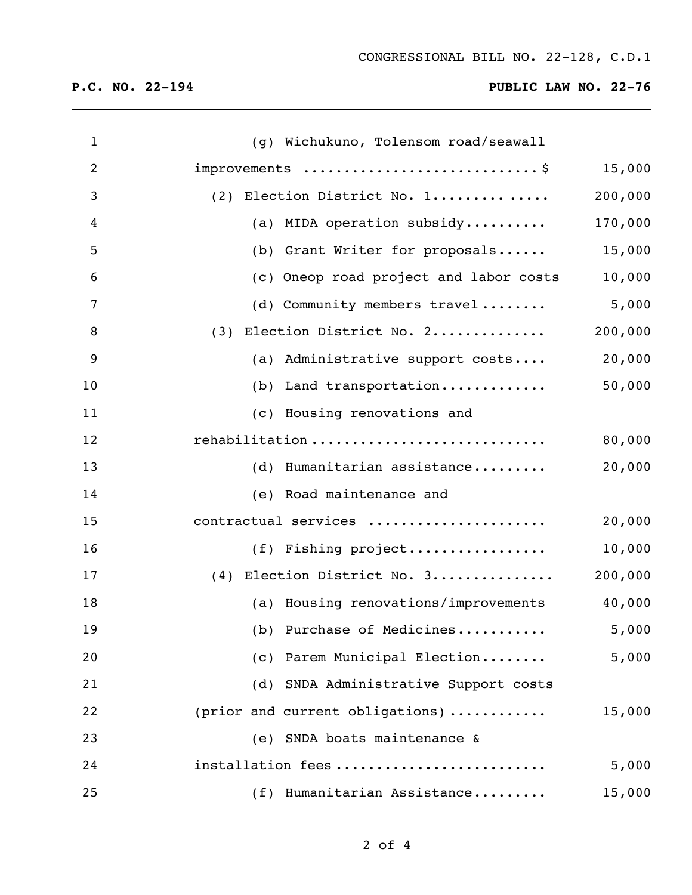## **P.C. NO. 22-194 PUBLIC LAW NO. 22-76**

| $\mathbf{1}$   | (g) Wichukuno, Tolensom road/seawall   |         |
|----------------|----------------------------------------|---------|
| $\overline{2}$ | improvements \$                        | 15,000  |
| 3              | (2) Election District No. 1            | 200,000 |
| 4              | (a) MIDA operation subsidy             | 170,000 |
| 5              | (b) Grant Writer for proposals         | 15,000  |
| 6              | (c) Oneop road project and labor costs | 10,000  |
| 7              | (d) Community members travel           | 5,000   |
| 8              | (3) Election District No. 2            | 200,000 |
| 9              | (a) Administrative support costs       | 20,000  |
| 10             | (b) Land transportation                | 50,000  |
| 11             | (c) Housing renovations and            |         |
| 12             | rehabilitation                         | 80,000  |
| 13             | (d) Humanitarian assistance            | 20,000  |
| 14             | (e) Road maintenance and               |         |
| 15             | contractual services                   | 20,000  |
| 16             | (f) Fishing project                    | 10,000  |
| 17             | (4) Election District No. 3            | 200,000 |
| 18             | (a) Housing renovations/improvements   | 40,000  |
| 19             | (b) Purchase of Medicines              | 5,000   |
| 20             | (c) Parem Municipal Election           | 5,000   |
| 21             | (d) SNDA Administrative Support costs  |         |
| 22             | (prior and current obligations)        | 15,000  |
| 23             | (e) SNDA boats maintenance &           |         |
| 24             | installation fees                      | 5,000   |
| 25             | (f) Humanitarian Assistance            | 15,000  |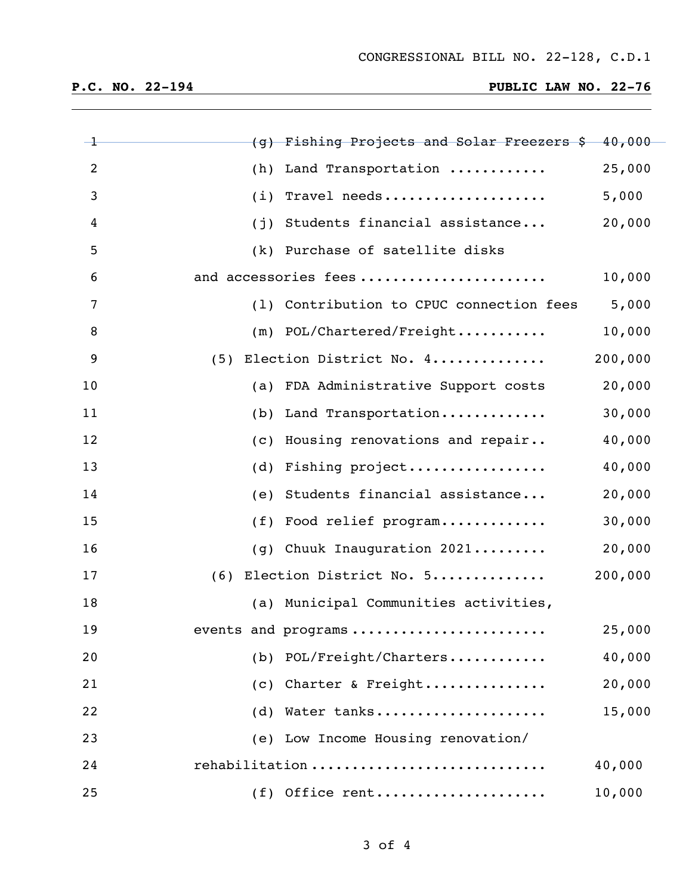# **P.C. NO. 22-194 PUBLIC LAW NO. 22-76**

| $-1$           | (g) Fishing Projects and Solar Freezers \$ 40,000 |         |
|----------------|---------------------------------------------------|---------|
| 2              | (h) Land Transportation                           | 25,000  |
| 3              | $(i)$ Travel needs                                | 5,000   |
| $\overline{4}$ | (j) Students financial assistance                 | 20,000  |
| 5              | (k) Purchase of satellite disks                   |         |
| 6              | and accessories fees                              | 10,000  |
| 7              | (1) Contribution to CPUC connection fees          | 5,000   |
| 8              | $(m)$ POL/Chartered/Freight                       | 10,000  |
| 9              | (5) Election District No. 4                       | 200,000 |
| 10             | (a) FDA Administrative Support costs              | 20,000  |
| 11             | (b) Land Transportation                           | 30,000  |
| 12             | (c) Housing renovations and repair                | 40,000  |
| 13             | (d) Fishing project                               | 40,000  |
| 14             | (e) Students financial assistance                 | 20,000  |
| 15             | (f) Food relief program                           | 30,000  |
| 16             | (g) Chuuk Inauguration 2021                       | 20,000  |
| 17             | (6) Election District No. 5                       | 200,000 |
| 18             | (a) Municipal Communities activities,             |         |
| 19             | events and programs                               | 25,000  |
| 20             | (b) POL/Freight/Charters                          | 40,000  |
| 21             | (c) Charter & Freight                             | 20,000  |
| 22             | (d) Water tanks                                   | 15,000  |
| 23             | (e) Low Income Housing renovation/                |         |
| 24             | rehabilitation                                    | 40,000  |
| 25             | $(f)$ Office rent                                 | 10,000  |